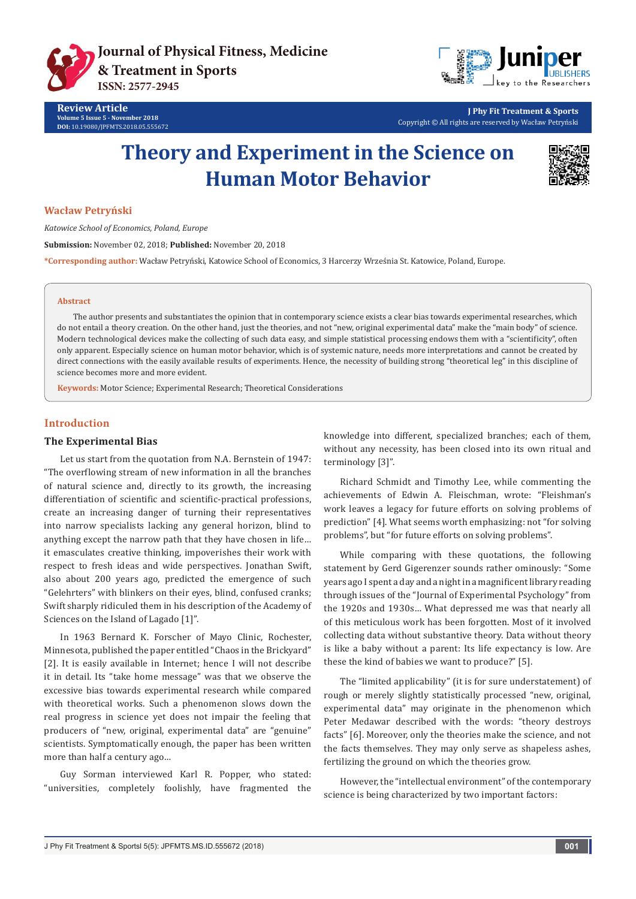



**J Phy Fit Treatment & Sports** Copyright © All rights are reserved by Wacław Petryński

# **Theory and Experiment in the Science on Human Motor Behavior**



### **Wacław Petryński**

*Katowice School of Economics, Poland, Europe*

**Submission:** November 02, 2018; **Published:** November 20, 2018

**\*Corresponding author:** Wacław Petryński, Katowice School of Economics, 3 Harcerzy Września St. Katowice, Poland, Europe.

#### **Abstract**

The author presents and substantiates the opinion that in contemporary science exists a clear bias towards experimental researches, which do not entail a theory creation. On the other hand, just the theories, and not "new, original experimental data" make the "main body" of science. Modern technological devices make the collecting of such data easy, and simple statistical processing endows them with a "scientificity", often only apparent. Especially science on human motor behavior, which is of systemic nature, needs more interpretations and cannot be created by direct connections with the easily available results of experiments. Hence, the necessity of building strong "theoretical leg" in this discipline of science becomes more and more evident.

**Keywords:** Motor Science; Experimental Research; Theoretical Considerations

# **Introduction**

### **The Experimental Bias**

Let us start from the quotation from N.A. Bernstein of 1947: "The overflowing stream of new information in all the branches of natural science and, directly to its growth, the increasing differentiation of scientific and scientific-practical professions, create an increasing danger of turning their representatives into narrow specialists lacking any general horizon, blind to anything except the narrow path that they have chosen in life… it emasculates creative thinking, impoverishes their work with respect to fresh ideas and wide perspectives. Jonathan Swift, also about 200 years ago, predicted the emergence of such "Gelehrters" with blinkers on their eyes, blind, confused cranks; Swift sharply ridiculed them in his description of the Academy of Sciences on the Island of Lagado [1]".

In 1963 Bernard K. Forscher of Mayo Clinic, Rochester, Minnesota, published the paper entitled "Chaos in the Brickyard" [2]. It is easily available in Internet; hence I will not describe it in detail. Its "take home message" was that we observe the excessive bias towards experimental research while compared with theoretical works. Such a phenomenon slows down the real progress in science yet does not impair the feeling that producers of "new, original, experimental data" are "genuine" scientists. Symptomatically enough, the paper has been written more than half a century ago…

Guy Sorman interviewed Karl R. Popper, who stated: "universities, completely foolishly, have fragmented the

knowledge into different, specialized branches; each of them, without any necessity, has been closed into its own ritual and terminology [3]".

Richard Schmidt and Timothy Lee, while commenting the achievements of Edwin A. Fleischman, wrote: "Fleishman's work leaves a legacy for future efforts on solving problems of prediction" [4]. What seems worth emphasizing: not "for solving problems", but "for future efforts on solving problems".

While comparing with these quotations, the following statement by Gerd Gigerenzer sounds rather ominously: "Some years ago I spent a day and a night in a magnificent library reading through issues of the "Journal of Experimental Psychology" from the 1920s and 1930s… What depressed me was that nearly all of this meticulous work has been forgotten. Most of it involved collecting data without substantive theory. Data without theory is like a baby without a parent: Its life expectancy is low. Are these the kind of babies we want to produce?" [5].

The "limited applicability" (it is for sure understatement) of rough or merely slightly statistically processed "new, original, experimental data" may originate in the phenomenon which Peter Medawar described with the words: "theory destroys facts" [6]. Moreover, only the theories make the science, and not the facts themselves. They may only serve as shapeless ashes, fertilizing the ground on which the theories grow.

However, the "intellectual environment" of the contemporary science is being characterized by two important factors: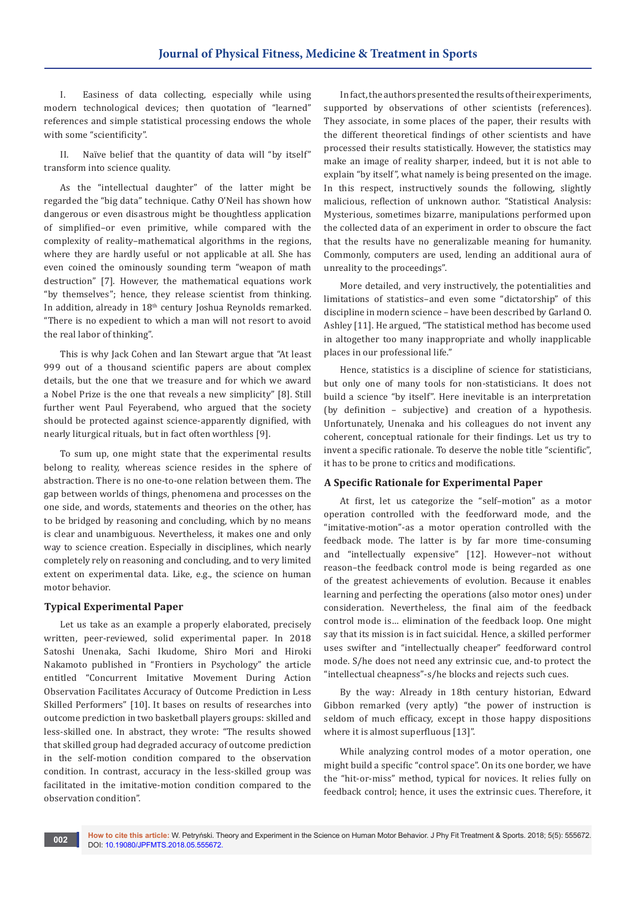I. Easiness of data collecting, especially while using modern technological devices; then quotation of "learned" references and simple statistical processing endows the whole with some "scientificity".

II. Naïve belief that the quantity of data will "by itself" transform into science quality.

As the "intellectual daughter" of the latter might be regarded the "big data" technique. Cathy O'Neil has shown how dangerous or even disastrous might be thoughtless application of simplified–or even primitive, while compared with the complexity of reality–mathematical algorithms in the regions, where they are hardly useful or not applicable at all. She has even coined the ominously sounding term "weapon of math destruction" [7]. However, the mathematical equations work "by themselves"; hence, they release scientist from thinking. In addition, already in 18<sup>th</sup> century Joshua Reynolds remarked. "There is no expedient to which a man will not resort to avoid the real labor of thinking".

This is why Jack Cohen and Ian Stewart argue that "At least 999 out of a thousand scientific papers are about complex details, but the one that we treasure and for which we award a Nobel Prize is the one that reveals a new simplicity" [8]. Still further went Paul Feyerabend, who argued that the society should be protected against science-apparently dignified, with nearly liturgical rituals, but in fact often worthless [9].

To sum up, one might state that the experimental results belong to reality, whereas science resides in the sphere of abstraction. There is no one-to-one relation between them. The gap between worlds of things, phenomena and processes on the one side, and words, statements and theories on the other, has to be bridged by reasoning and concluding, which by no means is clear and unambiguous. Nevertheless, it makes one and only way to science creation. Especially in disciplines, which nearly completely rely on reasoning and concluding, and to very limited extent on experimental data. Like, e.g., the science on human motor behavior.

#### **Typical Experimental Paper**

Let us take as an example a properly elaborated, precisely written, peer-reviewed, solid experimental paper. In 2018 Satoshi Unenaka, Sachi Ikudome, Shiro Mori and Hiroki Nakamoto published in "Frontiers in Psychology" the article entitled "Concurrent Imitative Movement During Action Observation Facilitates Accuracy of Outcome Prediction in Less Skilled Performers" [10]. It bases on results of researches into outcome prediction in two basketball players groups: skilled and less-skilled one. In abstract, they wrote: "The results showed that skilled group had degraded accuracy of outcome prediction in the self-motion condition compared to the observation condition. In contrast, accuracy in the less-skilled group was facilitated in the imitative-motion condition compared to the observation condition".

In fact, the authors presented the results of their experiments, supported by observations of other scientists (references). They associate, in some places of the paper, their results with the different theoretical findings of other scientists and have processed their results statistically. However, the statistics may make an image of reality sharper, indeed, but it is not able to explain "by itself", what namely is being presented on the image. In this respect, instructively sounds the following, slightly malicious, reflection of unknown author. "Statistical Analysis: Mysterious, sometimes bizarre, manipulations performed upon the collected data of an experiment in order to obscure the fact that the results have no generalizable meaning for humanity. Commonly, computers are used, lending an additional aura of unreality to the proceedings".

More detailed, and very instructively, the potentialities and limitations of statistics–and even some "dictatorship" of this discipline in modern science – have been described by Garland O. Ashley [11]. He argued, "The statistical method has become used in altogether too many inappropriate and wholly inapplicable places in our professional life."

Hence, statistics is a discipline of science for statisticians, but only one of many tools for non-statisticians. It does not build a science "by itself". Here inevitable is an interpretation (by definition – subjective) and creation of a hypothesis. Unfortunately, Unenaka and his colleagues do not invent any coherent, conceptual rationale for their findings. Let us try to invent a specific rationale. To deserve the noble title "scientific", it has to be prone to critics and modifications.

# **A Specific Rationale for Experimental Paper**

At first, let us categorize the "self–motion" as a motor operation controlled with the feedforward mode, and the "imitative-motion"-as a motor operation controlled with the feedback mode. The latter is by far more time-consuming and "intellectually expensive" [12]. However–not without reason–the feedback control mode is being regarded as one of the greatest achievements of evolution. Because it enables learning and perfecting the operations (also motor ones) under consideration. Nevertheless, the final aim of the feedback control mode is… elimination of the feedback loop. One might say that its mission is in fact suicidal. Hence, a skilled performer uses swifter and "intellectually cheaper" feedforward control mode. S/he does not need any extrinsic cue, and-to protect the "intellectual cheapness"-s/he blocks and rejects such cues.

By the way: Already in 18th century historian, Edward Gibbon remarked (very aptly) "the power of instruction is seldom of much efficacy, except in those happy dispositions where it is almost superfluous [13]".

While analyzing control modes of a motor operation, one might build a specific "control space". On its one border, we have the "hit-or-miss" method, typical for novices. It relies fully on feedback control; hence, it uses the extrinsic cues. Therefore, it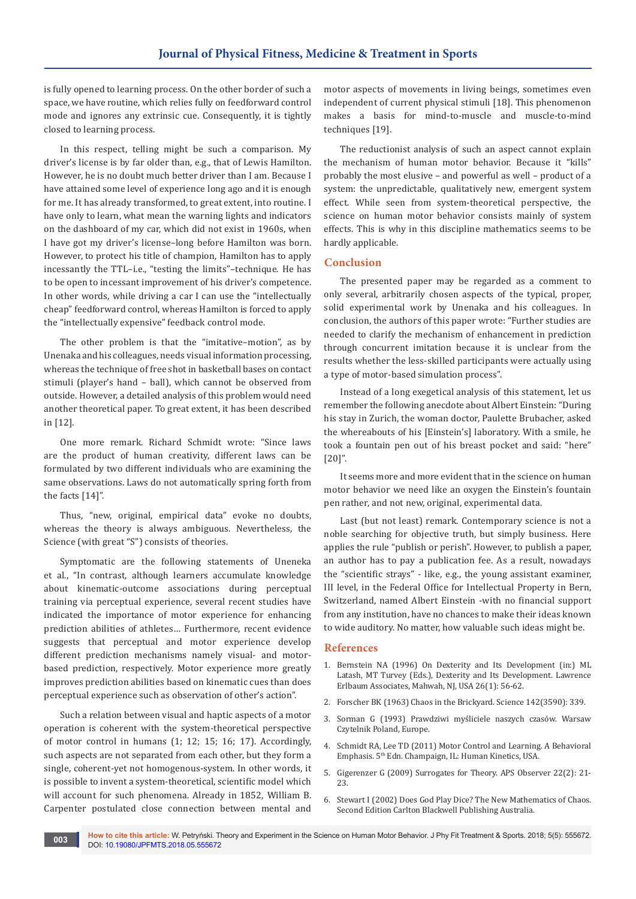is fully opened to learning process. On the other border of such a space, we have routine, which relies fully on feedforward control mode and ignores any extrinsic cue. Consequently, it is tightly closed to learning process.

In this respect, telling might be such a comparison. My driver's license is by far older than, e.g., that of Lewis Hamilton. However, he is no doubt much better driver than I am. Because I have attained some level of experience long ago and it is enough for me. It has already transformed, to great extent, into routine. I have only to learn, what mean the warning lights and indicators on the dashboard of my car, which did not exist in 1960s, when I have got my driver's license–long before Hamilton was born. However, to protect his title of champion, Hamilton has to apply incessantly the TTL–i.e., "testing the limits"–technique. He has to be open to incessant improvement of his driver's competence. In other words, while driving a car I can use the "intellectually cheap" feedforward control, whereas Hamilton is forced to apply the "intellectually expensive" feedback control mode.

The other problem is that the "imitative–motion", as by Unenaka and his colleagues, needs visual information processing, whereas the technique of free shot in basketball bases on contact stimuli (player's hand – ball), which cannot be observed from outside. However, a detailed analysis of this problem would need another theoretical paper. To great extent, it has been described in [12].

One more remark. Richard Schmidt wrote: "Since laws are the product of human creativity, different laws can be formulated by two different individuals who are examining the same observations. Laws do not automatically spring forth from the facts [14]".

Thus, "new, original, empirical data" evoke no doubts, whereas the theory is always ambiguous. Nevertheless, the Science (with great "S") consists of theories.

Symptomatic are the following statements of Uneneka et al., "In contrast, although learners accumulate knowledge about kinematic-outcome associations during perceptual training via perceptual experience, several recent studies have indicated the importance of motor experience for enhancing prediction abilities of athletes… Furthermore, recent evidence suggests that perceptual and motor experience develop different prediction mechanisms namely visual- and motorbased prediction, respectively. Motor experience more greatly improves prediction abilities based on kinematic cues than does perceptual experience such as observation of other's action".

Such a relation between visual and haptic aspects of a motor operation is coherent with the system-theoretical perspective of motor control in humans (1; 12; 15; 16; 17). Accordingly, such aspects are not separated from each other, but they form a single, coherent-yet not homogenous-system. In other words, it is possible to invent a system-theoretical, scientific model which will account for such phenomena. Already in 1852, William B. Carpenter postulated close connection between mental and

motor aspects of movements in living beings, sometimes even independent of current physical stimuli [18]. This phenomenon makes a basis for mind-to-muscle and muscle-to-mind techniques [19].

The reductionist analysis of such an aspect cannot explain the mechanism of human motor behavior. Because it "kills" probably the most elusive – and powerful as well – product of a system: the unpredictable, qualitatively new, emergent system effect. While seen from system-theoretical perspective, the science on human motor behavior consists mainly of system effects. This is why in this discipline mathematics seems to be hardly applicable.

# **Conclusion**

The presented paper may be regarded as a comment to only several, arbitrarily chosen aspects of the typical, proper, solid experimental work by Unenaka and his colleagues. In conclusion, the authors of this paper wrote: "Further studies are needed to clarify the mechanism of enhancement in prediction through concurrent imitation because it is unclear from the results whether the less-skilled participants were actually using a type of motor-based simulation process".

Instead of a long exegetical analysis of this statement, let us remember the following anecdote about Albert Einstein: "During his stay in Zurich, the woman doctor, Paulette Brubacher, asked the whereabouts of his [Einstein's] laboratory. With a smile, he took a fountain pen out of his breast pocket and said: "here" [20]".

It seems more and more evident that in the science on human motor behavior we need like an oxygen the Einstein's fountain pen rather, and not new, original, experimental data.

Last (but not least) remark. Contemporary science is not a noble searching for objective truth, but simply business. Here applies the rule "publish or perish". However, to publish a paper, an author has to pay a publication fee. As a result, nowadays the "scientific strays" - like, e.g., the young assistant examiner, III level, in the Federal Office for Intellectual Property in Bern, Switzerland, named Albert Einstein -with no financial support from any institution, have no chances to make their ideas known to wide auditory. No matter, how valuable such ideas might be.

### **References**

- 1. Bernstein NA (1996) On Dexterity and Its Development (in:) ML Latash, MT Turvey (Eds.), Dexterity and Its Development. Lawrence Erlbaum Associates, Mahwah, NJ, USA 26(1): 56-62.
- 2. [Forscher BK \(1963\) Chaos in the Brickyard. Science 142\(3590\): 339](http://science.sciencemag.org/content/142/3590/339.1).
- 3. [Sorman G \(1993\) Prawdziwi myśliciele naszych czasów. Warsaw](http://lubimyczytac.pl/ksiazka/83557/prawdziwi-mysliciele-naszych-czasow)  [Czytelnik Poland, Europe.](http://lubimyczytac.pl/ksiazka/83557/prawdziwi-mysliciele-naszych-czasow)
- 4. [Schmidt RA, Lee TD \(2011\) Motor Control and Learning. A Behavioral](https://www.amazon.com/Motor-Control-Learning-Behavioral-Emphasis/dp/0736079610)  Emphasis. 5th [Edn. Champaign, IL: Human Kinetics, USA.](https://www.amazon.com/Motor-Control-Learning-Behavioral-Emphasis/dp/0736079610)
- 5. [Gigerenzer G \(2009\) Surrogates for Theory. APS Observer 22\(2\): 21-](https://www.psychologicalscience.org/observer/surrogates-for-theory) [23.](https://www.psychologicalscience.org/observer/surrogates-for-theory)
- 6. [Stewart I \(2002\) Does God Play Dice? The New Mathematics of Chaos.](https://www.wiley.com/en-us/Does+God+Play+Dice%3F%3A+The+New+Mathematics+of+Chaos%2C+2nd+Edition-p-9780631232513)  [Second Edition Carlton Blackwell Publishing Australia](https://www.wiley.com/en-us/Does+God+Play+Dice%3F%3A+The+New+Mathematics+of+Chaos%2C+2nd+Edition-p-9780631232513).